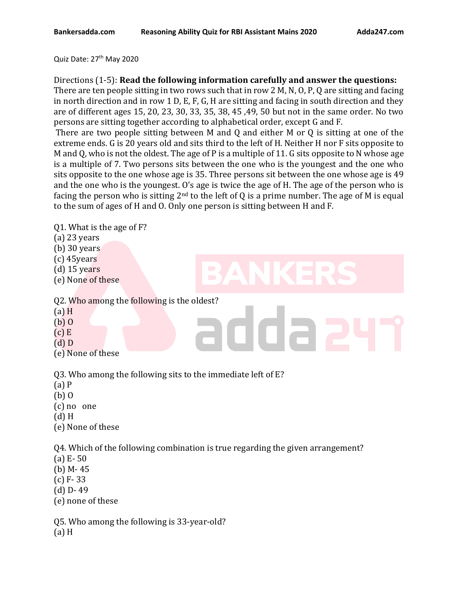#### Quiz Date: 27<sup>th</sup> May 2020

Directions (1-5): **Read the following information carefully and answer the questions:**

There are ten people sitting in two rows such that in row 2 M, N, O, P, Q are sitting and facing in north direction and in row 1 D, E, F, G, H are sitting and facing in south direction and they are of different ages 15, 20, 23, 30, 33, 35, 38, 45 ,49, 50 but not in the same order. No two persons are sitting together according to alphabetical order, except G and F.

There are two people sitting between M and Q and either M or Q is sitting at one of the extreme ends. G is 20 years old and sits third to the left of H. Neither H nor F sits opposite to M and Q, who is not the oldest. The age of P is a multiple of 11. G sits opposite to N whose age is a multiple of 7. Two persons sits between the one who is the youngest and the one who sits opposite to the one whose age is 35. Three persons sit between the one whose age is 49 and the one who is the youngest. O's age is twice the age of H. The age of the person who is facing the person who is sitting  $2<sup>nd</sup>$  to the left of Q is a prime number. The age of M is equal to the sum of ages of H and O. Only one person is sitting between H and F.

| Q1. What is the age of F?<br>$(a)$ 23 years<br>$(b)$ 30 years<br>$(c)$ 45 years<br>$(d)$ 15 years<br>$\blacksquare$<br>$\blacksquare$<br>$\Box$<br>(e) None of these |
|----------------------------------------------------------------------------------------------------------------------------------------------------------------------|
| Q2. Who among the following is the oldest?<br>$(a)$ H<br>$(b)$ O<br>$(c)$ E<br>$(d)$ D<br>(e) None of these                                                          |
| Q3. Who among the following sits to the immediate left of E?<br>$(a)$ P<br>$(b)$ 0<br>$(c)$ no one<br>$(d)$ H<br>(e) None of these                                   |
| Q4. Which of the following combination is true regarding the given arrangement?<br>(a) $E - 50$<br>(b) $M - 45$<br>$(c) F - 33$<br>$(d)$ D-49<br>(e) none of these   |

Q5. Who among the following is 33-year-old?

(a) H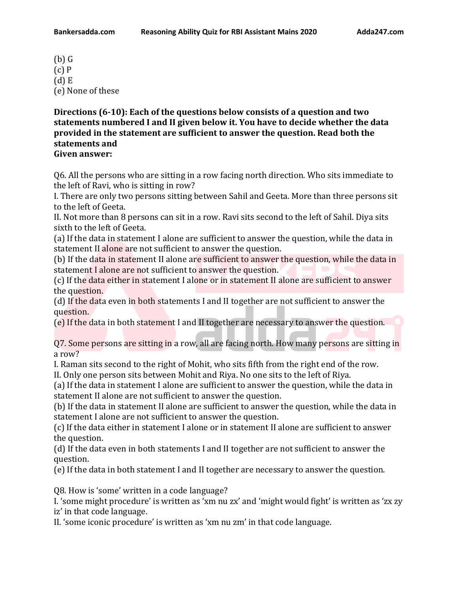(b) G (c) P (d) E (e) None of these

**Directions (6-10): Each of the questions below consists of a question and two statements numbered I and II given below it. You have to decide whether the data provided in the statement are sufficient to answer the question. Read both the statements and**

**Given answer:**

Q6. All the persons who are sitting in a row facing north direction. Who sits immediate to the left of Ravi, who is sitting in row?

I. There are only two persons sitting between Sahil and Geeta. More than three persons sit to the left of Geeta.

II. Not more than 8 persons can sit in a row. Ravi sits second to the left of Sahil. Diya sits sixth to the left of Geeta.

(a) If the data in statement I alone are sufficient to answer the question, while the data in statement II alone are not sufficient to answer the question.

(b) If the data in statement II alone are sufficient to answer the question, while the data in statement I alone are not sufficient to answer the question.

(c) If the data either in statement I alone or in statement II alone are sufficient to answer the question.

(d) If the data even in both statements I and II together are not sufficient to answer the question.

(e) If the data in both statement I and II together are necessary to answer the question.

Q7. Some persons are sitting in a row, all are facing north. How many persons are sitting in a row?

I. Raman sits second to the right of Mohit, who sits fifth from the right end of the row.

II. Only one person sits between Mohit and Riya. No one sits to the left of Riya.

(a) If the data in statement I alone are sufficient to answer the question, while the data in statement II alone are not sufficient to answer the question.

(b) If the data in statement II alone are sufficient to answer the question, while the data in statement I alone are not sufficient to answer the question.

(c) If the data either in statement I alone or in statement II alone are sufficient to answer the question.

(d) If the data even in both statements I and II together are not sufficient to answer the question.

(e) If the data in both statement I and II together are necessary to answer the question.

Q8. How is 'some' written in a code language?

I. 'some might procedure' is written as 'xm nu zx' and 'might would fight' is written as 'zx zy iz' in that code language.

II. 'some iconic procedure' is written as 'xm nu zm' in that code language.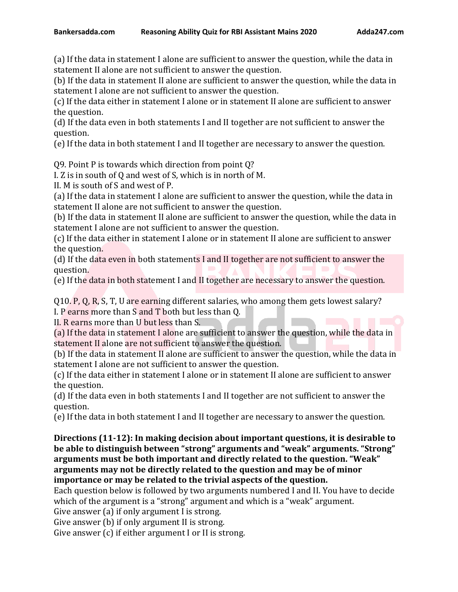(a) If the data in statement I alone are sufficient to answer the question, while the data in statement II alone are not sufficient to answer the question.

(b) If the data in statement II alone are sufficient to answer the question, while the data in statement I alone are not sufficient to answer the question.

(c) If the data either in statement I alone or in statement II alone are sufficient to answer the question.

(d) If the data even in both statements I and II together are not sufficient to answer the question.

(e) If the data in both statement I and II together are necessary to answer the question.

Q9. Point P is towards which direction from point Q?

I. Z is in south of Q and west of S, which is in north of M.

II. M is south of S and west of P.

(a) If the data in statement I alone are sufficient to answer the question, while the data in statement II alone are not sufficient to answer the question.

(b) If the data in statement II alone are sufficient to answer the question, while the data in statement I alone are not sufficient to answer the question.

(c) If the data either in statement I alone or in statement II alone are sufficient to answer the question.

(d) If the data even in both statements I and II together are not sufficient to answer the question.

(e) If the data in both statement I and II together are necessary to answer the question.

Q10. P, Q, R, S, T, U are earning different salaries, who among them gets lowest salary? I. P earns more than S and T both but less than Q.

II. R earns more than U but less than S.

(a) If the data in statement I alone are sufficient to answer the question, while the data in statement II alone are not sufficient to answer the question.

(b) If the data in statement II alone are sufficient to answer the question, while the data in statement I alone are not sufficient to answer the question.

(c) If the data either in statement I alone or in statement II alone are sufficient to answer the question.

(d) If the data even in both statements I and II together are not sufficient to answer the question.

(e) If the data in both statement I and II together are necessary to answer the question.

**Directions (11-12): In making decision about important questions, it is desirable to be able to distinguish between "strong" arguments and "weak" arguments. "Strong" arguments must be both important and directly related to the question. "Weak" arguments may not be directly related to the question and may be of minor importance or may be related to the trivial aspects of the question.**

Each question below is followed by two arguments numbered I and II. You have to decide which of the argument is a "strong" argument and which is a "weak" argument.

Give answer (a) if only argument I is strong.

Give answer (b) if only argument II is strong.

Give answer (c) if either argument I or II is strong.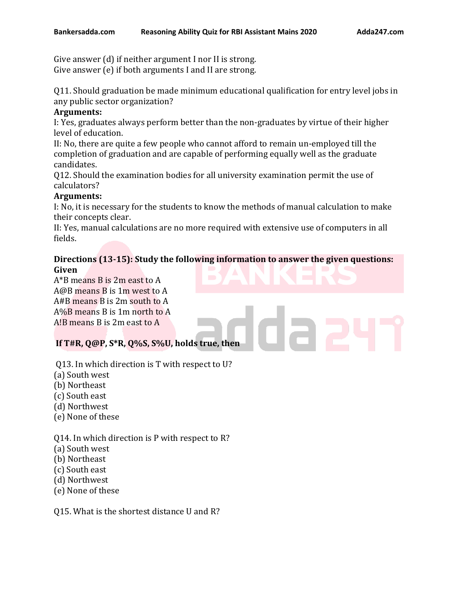Give answer (d) if neither argument I nor II is strong. Give answer (e) if both arguments I and II are strong.

Q11. Should graduation be made minimum educational qualification for entry level jobs in any public sector organization?

### **Arguments:**

I: Yes, graduates always perform better than the non-graduates by virtue of their higher level of education.

II: No, there are quite a few people who cannot afford to remain un-employed till the completion of graduation and are capable of performing equally well as the graduate candidates.

Q12. Should the examination bodies for all university examination permit the use of calculators?

## **Arguments:**

I: No, it is necessary for the students to know the methods of manual calculation to make their concepts clear.

II: Yes, manual calculations are no more required with extensive use of computers in all fields.

#### **Directions (13-15): Study the following information to answer the given questions: Given**

A\*B means B is 2m east to A A@B means B is 1m west to A A#B means B is 2m south to A A%B means B is 1m north to A A!B means B is 2m east to A

# **If T#R, Q@P, S\*R, Q%S, S%U, holds true, then**

- Q13. In which direction is T with respect to U?
- (a) South west
- (b) Northeast
- (c) South east
- (d) Northwest
- (e) None of these

Q14. In which direction is P with respect to R?

- (a) South west
- (b) Northeast
- (c) South east
- (d) Northwest
- (e) None of these

Q15. What is the shortest distance U and R?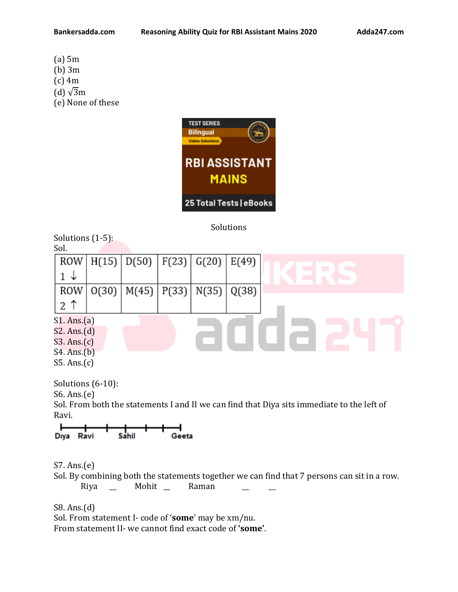- (a) 5m
- (b) 3m
- (c) 4m
- (d)  $\sqrt{3}m$
- (e) None of these



Solutions

Solutions (1-5):  $S<sub>ol</sub>$ 

| JUI.        |       |                         |                               |       |  |
|-------------|-------|-------------------------|-------------------------------|-------|--|
| ROW         |       | H(15) D(50) F(23) G(20) |                               | E(49) |  |
| ◡           |       |                         |                               |       |  |
| ROW         | O(30) |                         | M(45)   P(33)   N(35)   Q(38) |       |  |
| 2<br>↑      |       |                         |                               |       |  |
| S1. Ans.(a) |       |                         |                               |       |  |
| S2. Ans.(d) |       |                         |                               |       |  |
| S3. Ans.(c) |       |                         |                               |       |  |
| S4. Ans.(b) |       |                         |                               |       |  |
| S5. Ans.(c) |       |                         |                               |       |  |

Solutions (6-10): S6. Ans.(e)

Sol. From both the statements I and II we can find that Diya sits immediate to the left of Ravi.

S7. Ans.(e)

Sol. By combining both the statements together we can find that 7 persons can sit in a row. Riya \_ Mohit \_ Raman

S8. Ans.(d) Sol. From statement I- code of '**some**' may be xm/nu. From statement II- we cannot find exact code of **'some'**.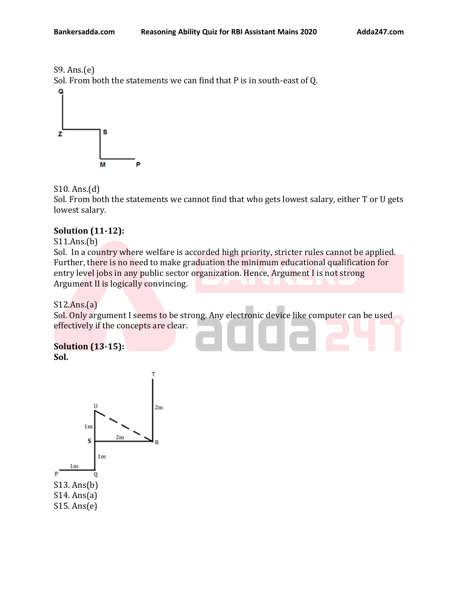

S9. Ans.(e) Sol. From both the statements we can find that P is in south-east of Q. Q



S10. Ans.(d)

Sol. From both the statements we cannot find that who gets lowest salary, either T or U gets lowest salary.

## **Solution (11-12):**

S11.Ans.(b)

Sol. In a country where welfare is accorded high priority, stricter rules cannot be applied. Further, there is no need to make graduation the minimum educational qualification for entry level jobs in any public sector organization. Hence, Argument I is not strong Argument II is logically convincing.

S12.Ans.(a)

Sol. Only argument I seems to be strong. Any electronic device like computer can be used effectively if the concepts are clear.

**Solution (13-15): Sol.**